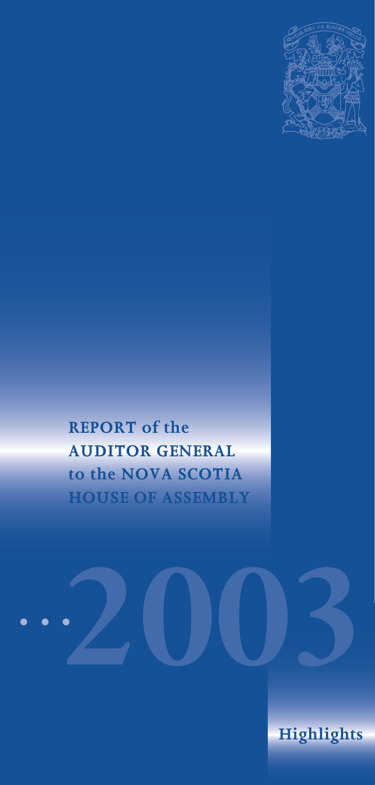

# **REPORT of the AUDITOR GENERAL to the NOVA SCOTIA HOUSE OF ASSEMBLY**



**Highlights**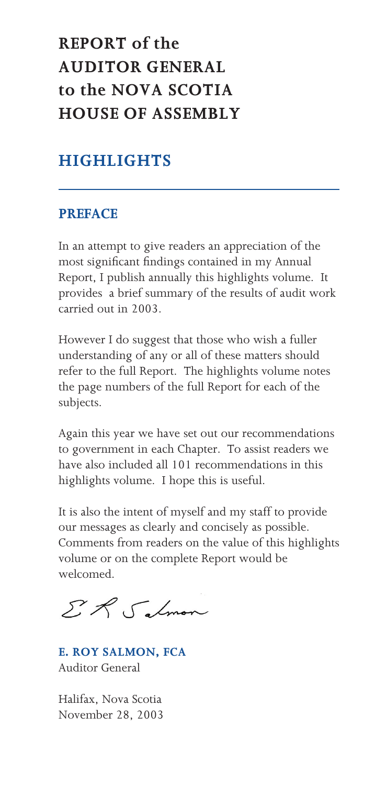# **REPORT of the AUDITOR GENERAL to the NOVA SCOTIA HOUSE OF ASSEMBLY**

# **HIGHLIGHTS**

### **PREFACE**

In an attempt to give readers an appreciation of the most significant findings contained in my Annual Report, I publish annually this highlights volume. It provides a brief summary of the results of audit work carried out in 2003.

However I do suggest that those who wish a fuller understanding of any or all of these matters should refer to the full Report. The highlights volume notes the page numbers of the full Report for each of the subjects.

Again this year we have set out our recommendations to government in each Chapter. To assist readers we have also included all 101 recommendations in this highlights volume. I hope this is useful.

It is also the intent of myself and my staff to provide our messages as clearly and concisely as possible. Comments from readers on the value of this highlights volume or on the complete Report would be welcomed.

ER Salmon

**E. ROY SALMON, FCA** Auditor General

Halifax, Nova Scotia November 28, 2003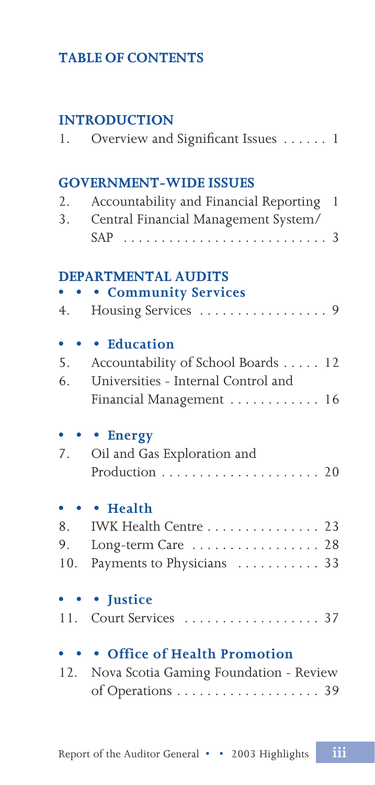# **TABLE OF CONTENTS**

# **INTRODUCTION**

| 1.              | Overview and Significant Issues 1                                                                                                |
|-----------------|----------------------------------------------------------------------------------------------------------------------------------|
| 2.<br>3.        | <b>GOVERNMENT-WIDE ISSUES</b><br>Accountability and Financial Reporting<br>1<br>Central Financial Management System/<br>SAP<br>3 |
| 4.              | <b>DEPARTMENTAL AUDITS</b><br><b>• Community Services</b><br>Housing Services<br>.9                                              |
| 5.<br>6.        | • Education<br>Accountability of School Boards<br>12<br>Universities - Internal Control and<br>Financial Management  16          |
| 7.              | <b>Energy</b><br>Oil and Gas Exploration and                                                                                     |
| 8.<br>9.<br>10. | • Health<br>IWK Health Centre 23<br>Long-term Care $\ldots \ldots \ldots \ldots 28$<br>Payments to Physicians  33                |
| 11.             | • Justice<br>Court Services<br>$\ldots$ 37                                                                                       |
| 12.             | • Office of Health Promotion<br>Nova Scotia Gaming Foundation - Review<br>of Operations 39                                       |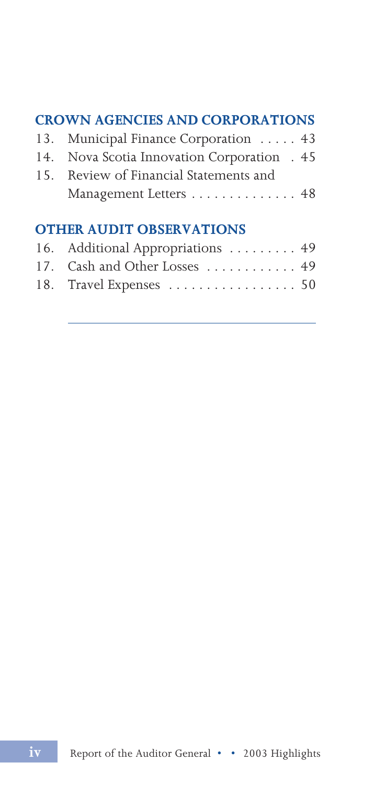# **CROWN AGENCIES AND CORPORATIONS**

| 13. Municipal Finance Corporation  43       |  |
|---------------------------------------------|--|
| 14. Nova Scotia Innovation Corporation . 45 |  |
| 15. Review of Financial Statements and      |  |
| Management Letters 48                       |  |

# **OTHER AUDIT OBSERVATIONS**

| 16. Additional Appropriations 49 |  |
|----------------------------------|--|
| 17. Cash and Other Losses  49    |  |
| 18. Travel Expenses  50          |  |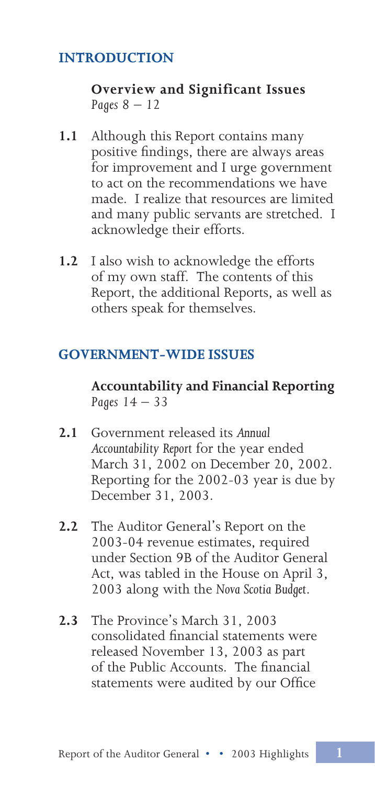## **INTRODUCTION**

### **Overview and Significant Issues** *Pages 8 – 12*

- **1.1** Although this Report contains many positive findings, there are always areas for improvement and I urge government to act on the recommendations we have made. I realize that resources are limited and many public servants are stretched. I acknowledge their efforts.
- **1.2** I also wish to acknowledge the efforts of my own staff. The contents of this Report, the additional Reports, as well as others speak for themselves.

### **GOVERNMENT-WIDE ISSUES**

**Accountability and Financial Reporting** *Pages 14 – 33*

- **2.1** Government released its *Annual Accountability Report* for the year ended March 31, 2002 on December 20, 2002. Reporting for the 2002-03 year is due by December 31, 2003.
- **2.2** The Auditor General's Report on the 2003-04 revenue estimates, required under Section 9B of the Auditor General Act, was tabled in the House on April 3, 2003 along with the *Nova Scotia Budget*.
- **2.3** The Province's March 31, 2003 consolidated financial statements were released November 13, 2003 as part of the Public Accounts. The financial statements were audited by our Office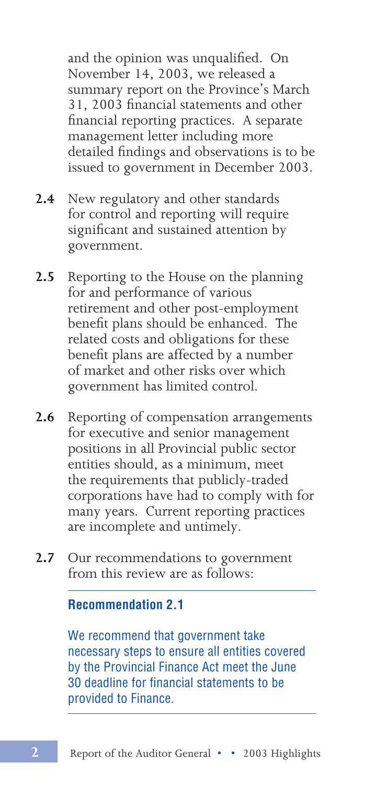and the opinion was unqualified. On November 14, 2003, we released a summary report on the Province's March 31, 2003 financial statements and other financial reporting practices. A separate management letter including more detailed findings and observations is to be issued to government in December 2003.

- **2.4** New regulatory and other standards for control and reporting will require significant and sustained attention by government.
- **2.5** Reporting to the House on the planning for and performance of various retirement and other post-employment benefit plans should be enhanced. The related costs and obligations for these benefit plans are affected by a number of market and other risks over which government has limited control.
- **2.6** Reporting of compensation arrangements for executive and senior management positions in all Provincial public sector entities should, as a minimum, meet the requirements that publicly-traded corporations have had to comply with for many years. Current reporting practices are incomplete and untimely.
- **2.7** Our recommendations to government from this review are as follows:

#### **Recommendation 2.1**

We recommend that government take necessary steps to ensure all entities covered by the Provincial Finance Act meet the June 30 deadline for financial statements to be provided to Finance.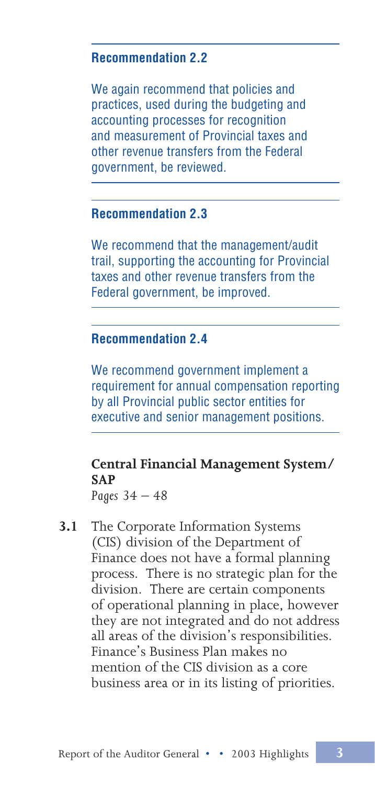### **Recommendation 2.2**

We again recommend that policies and practices, used during the budgeting and accounting processes for recognition and measurement of Provincial taxes and other revenue transfers from the Federal government, be reviewed.

#### **Recommendation 2.3**

We recommend that the management/audit trail, supporting the accounting for Provincial taxes and other revenue transfers from the Federal government, be improved.

### **Recommendation 2.4**

We recommend government implement a requirement for annual compensation reporting by all Provincial public sector entities for executive and senior management positions.

# **Central Financial Management System/ SAP**

*Pages 34 – 48*

**3.1** The Corporate Information Systems (CIS) division of the Department of Finance does not have a formal planning process. There is no strategic plan for the division. There are certain components of operational planning in place, however they are not integrated and do not address all areas of the division's responsibilities. Finance's Business Plan makes no mention of the CIS division as a core business area or in its listing of priorities.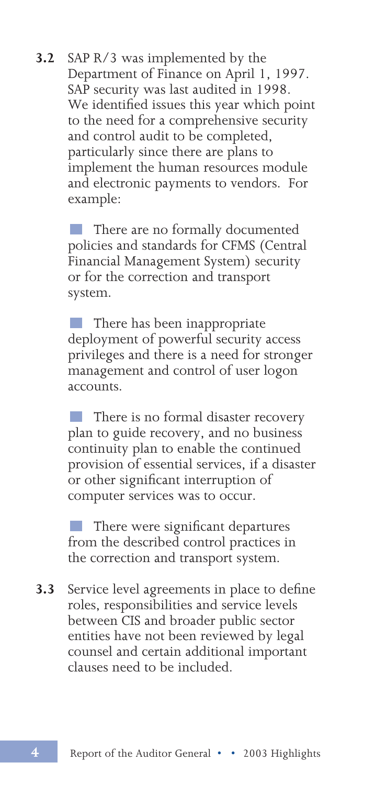**3.2** SAP R/3 was implemented by the Department of Finance on April 1, 1997. SAP security was last audited in 1998. We identified issues this year which point to the need for a comprehensive security and control audit to be completed, particularly since there are plans to implement the human resources module and electronic payments to vendors. For example:

> There are no formally documented policies and standards for CFMS (Central Financial Management System) security or for the correction and transport system.

 There has been inappropriate deployment of powerful security access privileges and there is a need for stronger management and control of user logon accounts.

 There is no formal disaster recovery plan to guide recovery, and no business continuity plan to enable the continued provision of essential services, if a disaster or other significant interruption of computer services was to occur.

 There were significant departures from the described control practices in the correction and transport system.

**3.3** Service level agreements in place to define roles, responsibilities and service levels between CIS and broader public sector entities have not been reviewed by legal counsel and certain additional important clauses need to be included.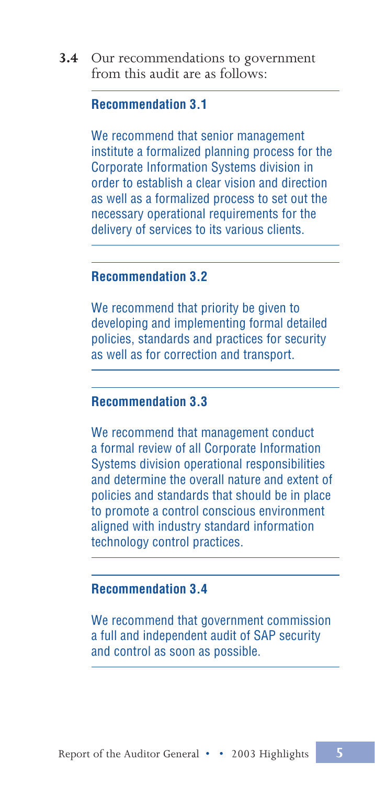**3.4** Our recommendations to government from this audit are as follows:

#### **Recommendation 3.1**

We recommend that senior management institute a formalized planning process for the Corporate Information Systems division in order to establish a clear vision and direction as well as a formalized process to set out the necessary operational requirements for the delivery of services to its various clients.

#### **Recommendation 3.2**

We recommend that priority be given to developing and implementing formal detailed policies, standards and practices for security as well as for correction and transport.

#### **Recommendation 3.3**

We recommend that management conduct a formal review of all Corporate Information Systems division operational responsibilities and determine the overall nature and extent of policies and standards that should be in place to promote a control conscious environment aligned with industry standard information technology control practices.

### **Recommendation 3.4**

We recommend that government commission a full and independent audit of SAP security and control as soon as possible.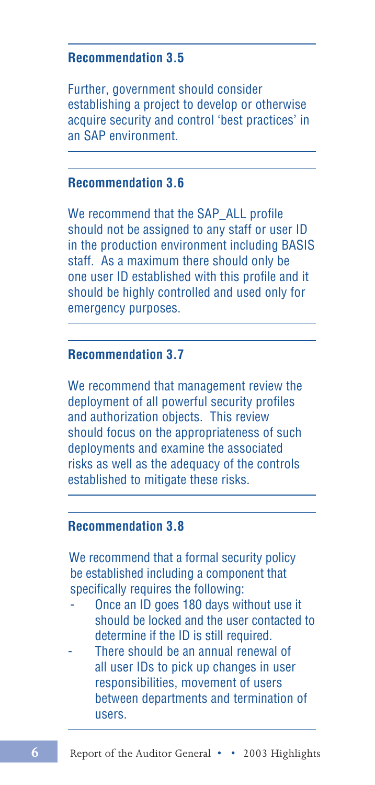#### **Recommendation 3.5**

Further, government should consider establishing a project to develop or otherwise acquire security and control 'best practices' in an SAP environment.

#### **Recommendation 3.6**

We recommend that the SAP\_ALL profile should not be assigned to any staff or user ID in the production environment including BASIS staff. As a maximum there should only be one user ID established with this profile and it should be highly controlled and used only for emergency purposes.

#### **Recommendation 3.7**

We recommend that management review the deployment of all powerful security profiles and authorization objects. This review should focus on the appropriateness of such deployments and examine the associated risks as well as the adequacy of the controls established to mitigate these risks.

#### **Recommendation 3.8**

We recommend that a formal security policy be established including a component that specifically requires the following:

- Once an ID goes 180 days without use it should be locked and the user contacted to determine if the ID is still required.
- There should be an annual renewal of all user IDs to pick up changes in user responsibilities, movement of users between departments and termination of users.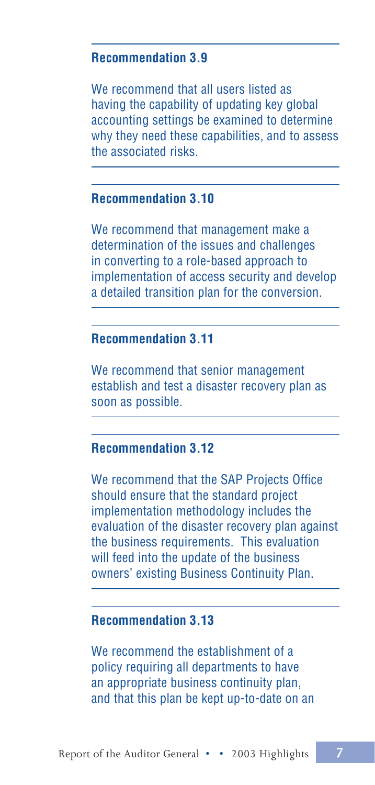#### **Recommendation 3.9**

We recommend that all users listed as having the capability of updating key global accounting settings be examined to determine why they need these capabilities, and to assess the associated risks.

### **Recommendation 3.10**

We recommend that management make a determination of the issues and challenges in converting to a role-based approach to implementation of access security and develop a detailed transition plan for the conversion.

### **Recommendation 3.11**

We recommend that senior management establish and test a disaster recovery plan as soon as possible.

### **Recommendation 3.12**

We recommend that the SAP Projects Office should ensure that the standard project implementation methodology includes the evaluation of the disaster recovery plan against the business requirements. This evaluation will feed into the update of the business owners' existing Business Continuity Plan.

### **Recommendation 3.13**

We recommend the establishment of a policy requiring all departments to have an appropriate business continuity plan, and that this plan be kept up-to-date on an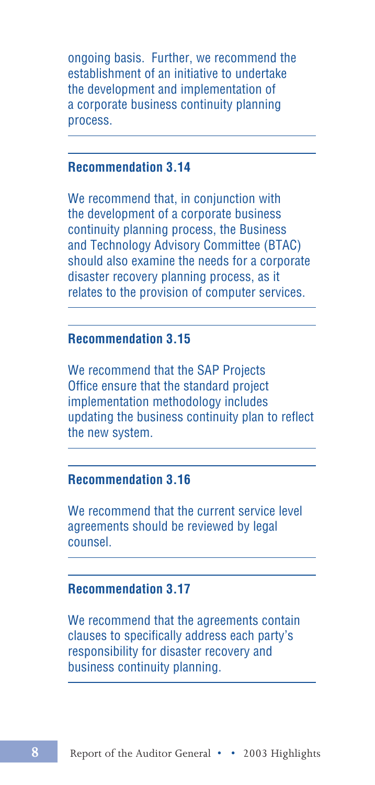ongoing basis. Further, we recommend the establishment of an initiative to undertake the development and implementation of a corporate business continuity planning process.

### **Recommendation 3.14**

We recommend that, in conjunction with the development of a corporate business continuity planning process, the Business and Technology Advisory Committee (BTAC) should also examine the needs for a corporate disaster recovery planning process, as it relates to the provision of computer services.

#### **Recommendation 3.15**

We recommend that the SAP Projects Office ensure that the standard project implementation methodology includes updating the business continuity plan to reflect the new system.

### **Recommendation 3.16**

We recommend that the current service level agreements should be reviewed by legal counsel.

### **Recommendation 3.17**

We recommend that the agreements contain clauses to specifically address each party's responsibility for disaster recovery and business continuity planning.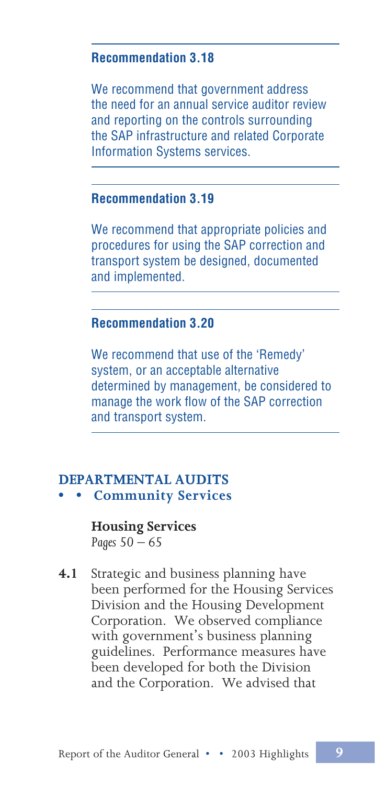#### **Recommendation 3.18**

We recommend that government address the need for an annual service auditor review and reporting on the controls surrounding the SAP infrastructure and related Corporate Information Systems services.

### **Recommendation 3.19**

We recommend that appropriate policies and procedures for using the SAP correction and transport system be designed, documented and implemented.

### **Recommendation 3.20**

We recommend that use of the 'Remedy' system, or an acceptable alternative determined by management, be considered to manage the work flow of the SAP correction and transport system.

#### **DEPARTMENTAL AUDITS • • Community Services**

#### **Housing Services** *Pages 50 – 65*

**4.1** Strategic and business planning have been performed for the Housing Services Division and the Housing Development Corporation. We observed compliance with government's business planning guidelines. Performance measures have been developed for both the Division and the Corporation. We advised that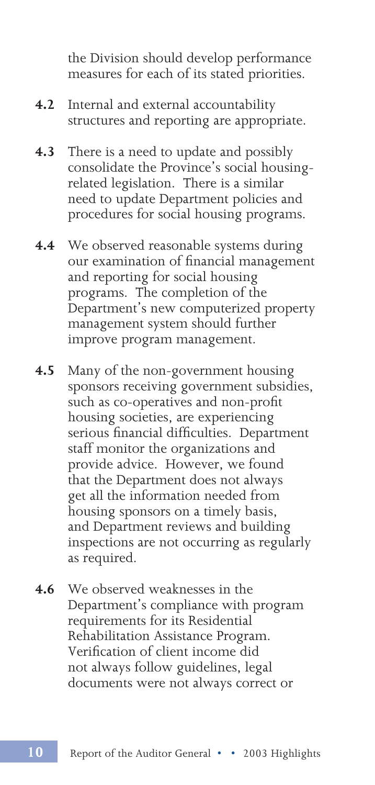the Division should develop performance measures for each of its stated priorities.

- **4.2** Internal and external accountability structures and reporting are appropriate.
- **4.3** There is a need to update and possibly consolidate the Province's social housingrelated legislation. There is a similar need to update Department policies and procedures for social housing programs.
- **4.4** We observed reasonable systems during our examination of financial management and reporting for social housing programs. The completion of the Department's new computerized property management system should further improve program management.
- **4.5** Many of the non-government housing sponsors receiving government subsidies, such as co-operatives and non-profit housing societies, are experiencing serious financial difficulties. Department staff monitor the organizations and provide advice. However, we found that the Department does not always get all the information needed from housing sponsors on a timely basis, and Department reviews and building inspections are not occurring as regularly as required.
- **4.6** We observed weaknesses in the Department's compliance with program requirements for its Residential Rehabilitation Assistance Program. Verification of client income did not always follow guidelines, legal documents were not always correct or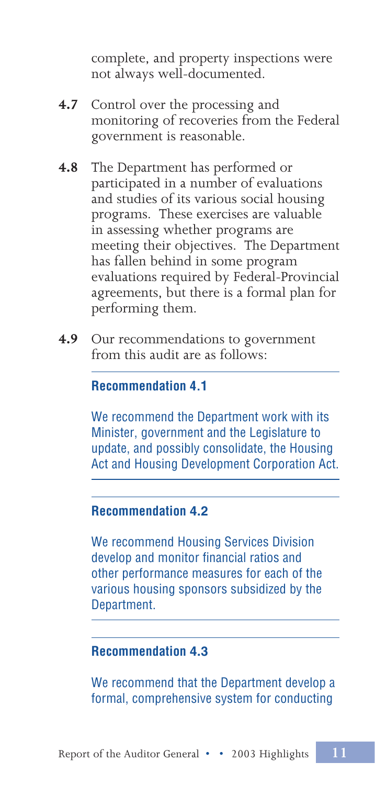complete, and property inspections were not always well-documented.

- **4.7** Control over the processing and monitoring of recoveries from the Federal government is reasonable.
- **4.8** The Department has performed or participated in a number of evaluations and studies of its various social housing programs. These exercises are valuable in assessing whether programs are meeting their objectives. The Department has fallen behind in some program evaluations required by Federal-Provincial agreements, but there is a formal plan for performing them.
- **4.9** Our recommendations to government from this audit are as follows:

### **Recommendation 4.1**

We recommend the Department work with its Minister, government and the Legislature to update, and possibly consolidate, the Housing Act and Housing Development Corporation Act.

### **Recommendation 4.2**

We recommend Housing Services Division develop and monitor financial ratios and other performance measures for each of the various housing sponsors subsidized by the Department.

### **Recommendation 4.3**

We recommend that the Department develop a formal, comprehensive system for conducting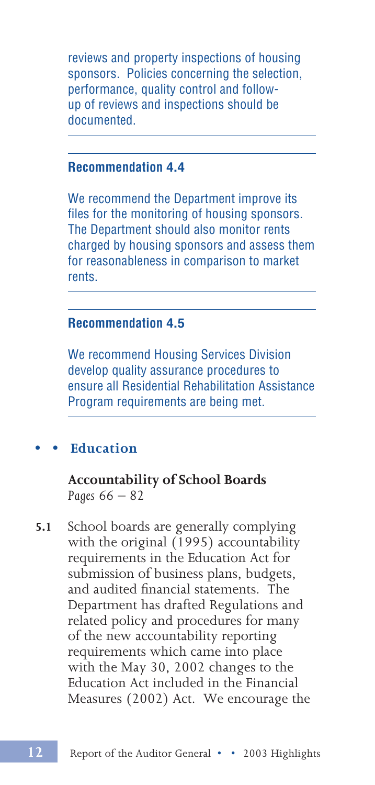reviews and property inspections of housing sponsors. Policies concerning the selection, performance, quality control and followup of reviews and inspections should be documented.

### **Recommendation 4.4**

We recommend the Department improve its files for the monitoring of housing sponsors. The Department should also monitor rents charged by housing sponsors and assess them for reasonableness in comparison to market rents.

### **Recommendation 4.5**

We recommend Housing Services Division develop quality assurance procedures to ensure all Residential Rehabilitation Assistance Program requirements are being met.

#### **• • Education**

**Accountability of School Boards** *Pages 66 – 82*

**5.1** School boards are generally complying with the original (1995) accountability requirements in the Education Act for submission of business plans, budgets, and audited financial statements. The Department has drafted Regulations and related policy and procedures for many of the new accountability reporting requirements which came into place with the May 30, 2002 changes to the Education Act included in the Financial Measures (2002) Act. We encourage the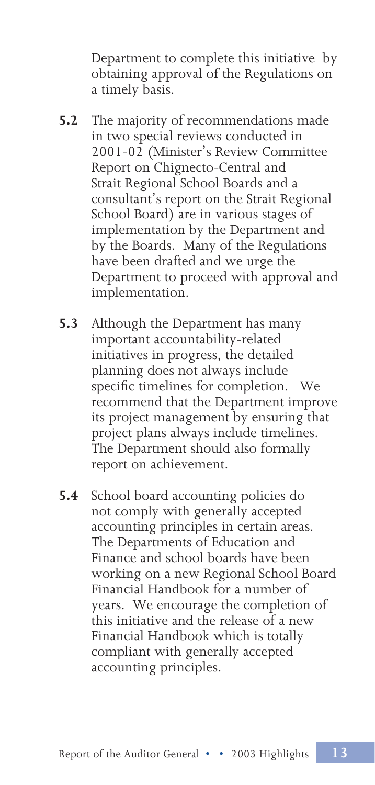Department to complete this initiative by obtaining approval of the Regulations on a timely basis.

- **5.2** The majority of recommendations made in two special reviews conducted in 2001-02 (Minister's Review Committee Report on Chignecto-Central and Strait Regional School Boards and a consultant's report on the Strait Regional School Board) are in various stages of implementation by the Department and by the Boards. Many of the Regulations have been drafted and we urge the Department to proceed with approval and implementation.
- **5.3** Although the Department has many important accountability-related initiatives in progress, the detailed planning does not always include specific timelines for completion. We recommend that the Department improve its project management by ensuring that project plans always include timelines. The Department should also formally report on achievement.
- **5.4** School board accounting policies do not comply with generally accepted accounting principles in certain areas. The Departments of Education and Finance and school boards have been working on a new Regional School Board Financial Handbook for a number of years. We encourage the completion of this initiative and the release of a new Financial Handbook which is totally compliant with generally accepted accounting principles.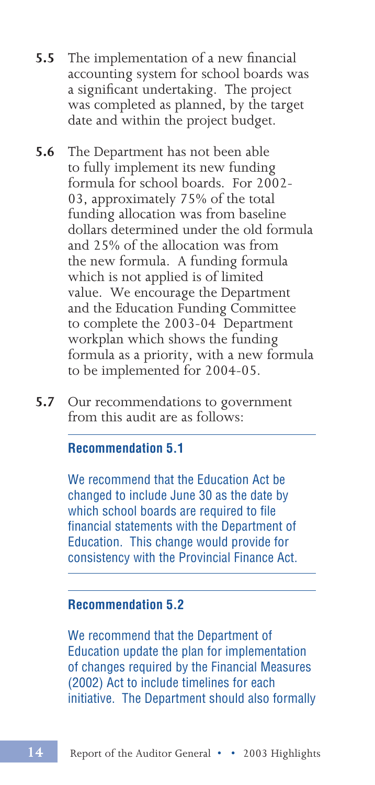- **5.5** The implementation of a new financial accounting system for school boards was a significant undertaking. The project was completed as planned, by the target date and within the project budget.
- **5.6** The Department has not been able to fully implement its new funding formula for school boards. For 2002- 03, approximately 75% of the total funding allocation was from baseline dollars determined under the old formula and 25% of the allocation was from the new formula. A funding formula which is not applied is of limited value. We encourage the Department and the Education Funding Committee to complete the 2003-04 Department workplan which shows the funding formula as a priority, with a new formula to be implemented for 2004-05.
- **5.7** Our recommendations to government from this audit are as follows:

#### **Recommendation 5.1**

We recommend that the Education Act be changed to include June 30 as the date by which school boards are required to file financial statements with the Department of Education. This change would provide for consistency with the Provincial Finance Act.

#### **Recommendation 5.2**

We recommend that the Department of Education update the plan for implementation of changes required by the Financial Measures (2002) Act to include timelines for each initiative. The Department should also formally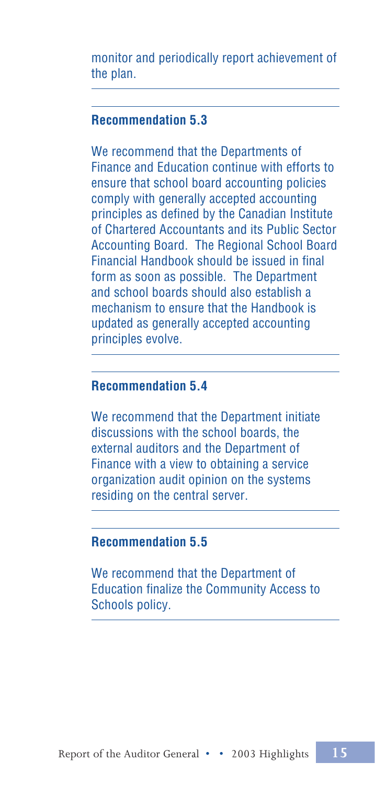monitor and periodically report achievement of the plan.

### **Recommendation 5.3**

We recommend that the Departments of Finance and Education continue with efforts to ensure that school board accounting policies comply with generally accepted accounting principles as defined by the Canadian Institute of Chartered Accountants and its Public Sector Accounting Board. The Regional School Board Financial Handbook should be issued in final form as soon as possible. The Department and school boards should also establish a mechanism to ensure that the Handbook is updated as generally accepted accounting principles evolve.

#### **Recommendation 5.4**

We recommend that the Department initiate discussions with the school boards, the external auditors and the Department of Finance with a view to obtaining a service organization audit opinion on the systems residing on the central server.

#### **Recommendation 5.5**

We recommend that the Department of Education finalize the Community Access to Schools policy.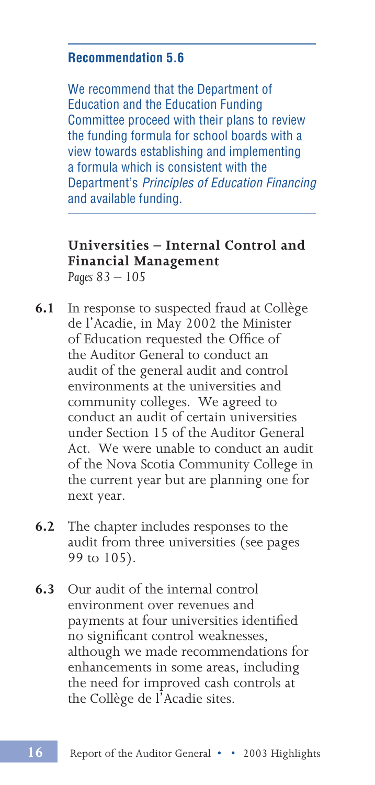#### **Recommendation 5.6**

We recommend that the Department of Education and the Education Funding Committee proceed with their plans to review the funding formula for school boards with a view towards establishing and implementing a formula which is consistent with the Department's Principles of Education Financing and available funding.

#### **Universities – Internal Control and Financial Management** *Pages 83 – 105*

- **6.1** In response to suspected fraud at Collège de l'Acadie, in May 2002 the Minister of Education requested the Office of the Auditor General to conduct an audit of the general audit and control environments at the universities and community colleges. We agreed to conduct an audit of certain universities under Section 15 of the Auditor General Act. We were unable to conduct an audit of the Nova Scotia Community College in the current year but are planning one for next year.
- **6.2** The chapter includes responses to the audit from three universities (see pages 99 to 105).
- **6.3** Our audit of the internal control environment over revenues and payments at four universities identified no significant control weaknesses, although we made recommendations for enhancements in some areas, including the need for improved cash controls at the Collège de l'Acadie sites.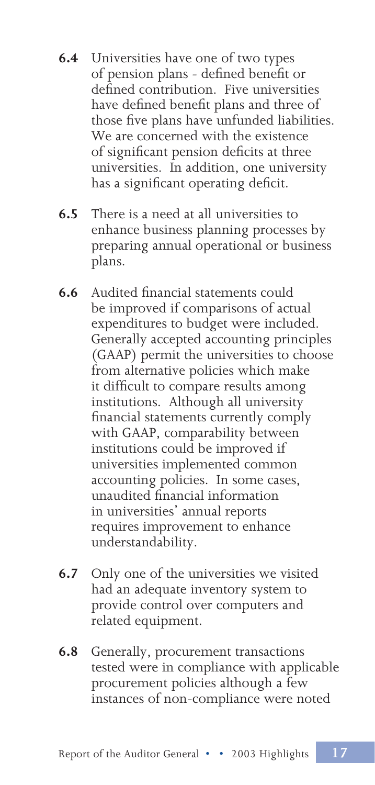- **6.4** Universities have one of two types of pension plans - defined benefit or defined contribution. Five universities have defined benefit plans and three of those five plans have unfunded liabilities. We are concerned with the existence of significant pension deficits at three universities. In addition, one university has a significant operating deficit.
- **6.5** There is a need at all universities to enhance business planning processes by preparing annual operational or business plans.
- **6.6** Audited financial statements could be improved if comparisons of actual expenditures to budget were included. Generally accepted accounting principles (GAAP) permit the universities to choose from alternative policies which make it difficult to compare results among institutions. Although all university financial statements currently comply with GAAP, comparability between institutions could be improved if universities implemented common accounting policies. In some cases, unaudited financial information in universities' annual reports requires improvement to enhance understandability.
- **6.7** Only one of the universities we visited had an adequate inventory system to provide control over computers and related equipment.
- **6.8** Generally, procurement transactions tested were in compliance with applicable procurement policies although a few instances of non-compliance were noted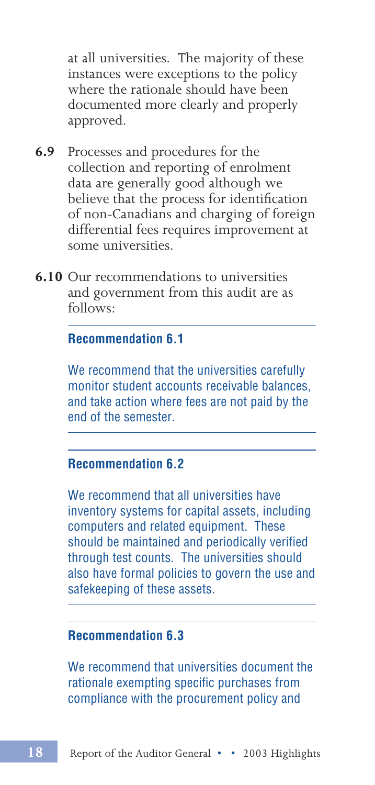at all universities. The majority of these instances were exceptions to the policy where the rationale should have been documented more clearly and properly approved.

- **6.9** Processes and procedures for the collection and reporting of enrolment data are generally good although we believe that the process for identification of non-Canadians and charging of foreign differential fees requires improvement at some universities.
- **6.10** Our recommendations to universities and government from this audit are as follows:

#### **Recommendation 6.1**

We recommend that the universities carefully monitor student accounts receivable balances, and take action where fees are not paid by the end of the semester.

#### **Recommendation 6.2**

We recommend that all universities have inventory systems for capital assets, including computers and related equipment. These should be maintained and periodically verified through test counts. The universities should also have formal policies to govern the use and safekeeping of these assets.

### **Recommendation 6.3**

We recommend that universities document the rationale exempting specific purchases from compliance with the procurement policy and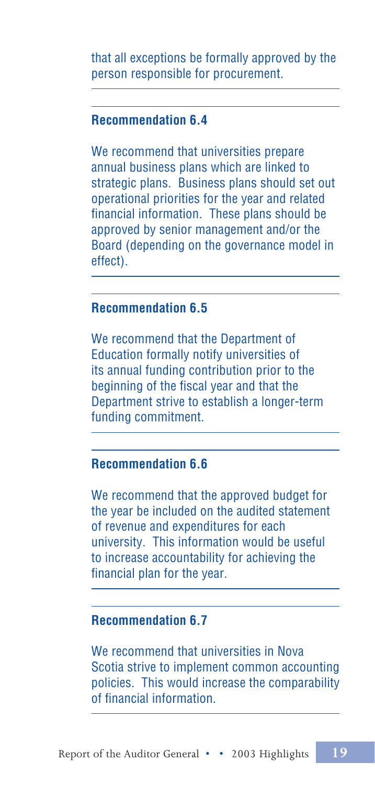that all exceptions be formally approved by the person responsible for procurement.

#### **Recommendation 6.4**

We recommend that universities prepare annual business plans which are linked to strategic plans. Business plans should set out operational priorities for the year and related financial information. These plans should be approved by senior management and/or the Board (depending on the governance model in effect).

#### **Recommendation 6.5**

We recommend that the Department of Education formally notify universities of its annual funding contribution prior to the beginning of the fiscal year and that the Department strive to establish a longer-term funding commitment.

#### **Recommendation 6.6**

We recommend that the approved budget for the year be included on the audited statement of revenue and expenditures for each university. This information would be useful to increase accountability for achieving the financial plan for the year.

### **Recommendation 6.7**

We recommend that universities in Nova Scotia strive to implement common accounting policies. This would increase the comparability of financial information.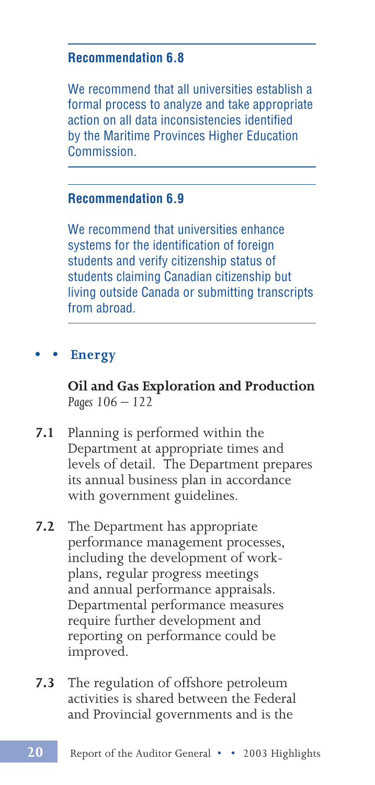#### **Recommendation 6.8**

We recommend that all universities establish a formal process to analyze and take appropriate action on all data inconsistencies identified by the Maritime Provinces Higher Education Commission.

### **Recommendation 6.9**

We recommend that universities enhance systems for the identification of foreign students and verify citizenship status of students claiming Canadian citizenship but living outside Canada or submitting transcripts from abroad.

### **• • Energy**

**Oil and Gas Exploration and Production** *Pages 106 – 122*

- **7.1** Planning is performed within the Department at appropriate times and levels of detail. The Department prepares its annual business plan in accordance with government guidelines.
- **7.2** The Department has appropriate performance management processes, including the development of workplans, regular progress meetings and annual performance appraisals. Departmental performance measures require further development and reporting on performance could be improved.
- **7.3** The regulation of offshore petroleum activities is shared between the Federal and Provincial governments and is the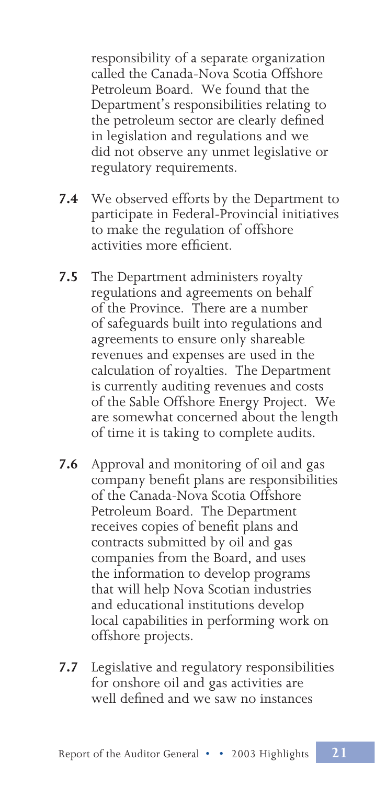responsibility of a separate organization called the Canada-Nova Scotia Offshore Petroleum Board. We found that the Department's responsibilities relating to the petroleum sector are clearly defined in legislation and regulations and we did not observe any unmet legislative or regulatory requirements.

- **7.4** We observed efforts by the Department to participate in Federal-Provincial initiatives to make the regulation of offshore activities more efficient.
- **7.5** The Department administers royalty regulations and agreements on behalf of the Province. There are a number of safeguards built into regulations and agreements to ensure only shareable revenues and expenses are used in the calculation of royalties. The Department is currently auditing revenues and costs of the Sable Offshore Energy Project. We are somewhat concerned about the length of time it is taking to complete audits.
- **7.6** Approval and monitoring of oil and gas company benefit plans are responsibilities of the Canada-Nova Scotia Offshore Petroleum Board. The Department receives copies of benefit plans and contracts submitted by oil and gas companies from the Board, and uses the information to develop programs that will help Nova Scotian industries and educational institutions develop local capabilities in performing work on offshore projects.
- **7.7** Legislative and regulatory responsibilities for onshore oil and gas activities are well defined and we saw no instances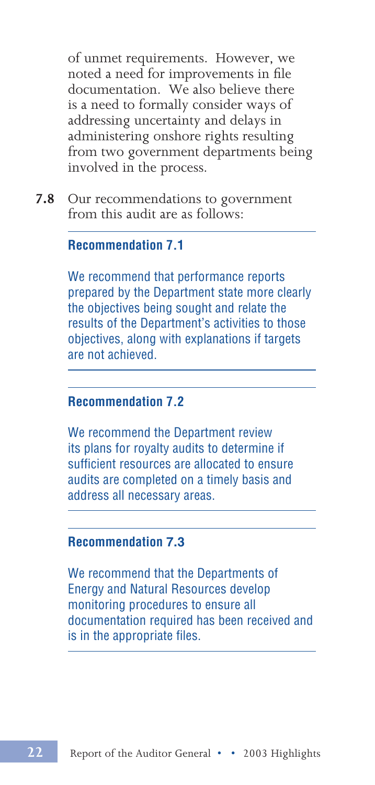of unmet requirements. However, we noted a need for improvements in file documentation. We also believe there is a need to formally consider ways of addressing uncertainty and delays in administering onshore rights resulting from two government departments being involved in the process.

**7.8** Our recommendations to government from this audit are as follows:

#### **Recommendation 7.1**

We recommend that performance reports prepared by the Department state more clearly the objectives being sought and relate the results of the Department's activities to those objectives, along with explanations if targets are not achieved.

#### **Recommendation 7.2**

We recommend the Department review its plans for royalty audits to determine if sufficient resources are allocated to ensure audits are completed on a timely basis and address all necessary areas.

#### **Recommendation 7.3**

We recommend that the Departments of Energy and Natural Resources develop monitoring procedures to ensure all documentation required has been received and is in the appropriate files.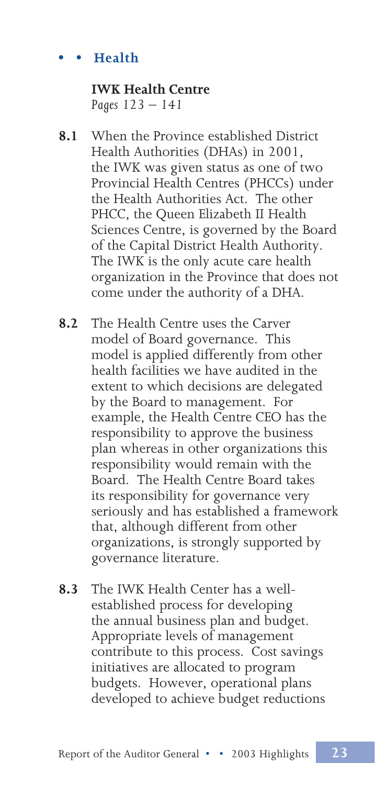# **• • Health**

#### **IWK Health Centre** *Pages 123 – 141*

- **8.1** When the Province established District Health Authorities (DHAs) in 2001, the IWK was given status as one of two Provincial Health Centres (PHCCs) under the Health Authorities Act. The other PHCC, the Queen Elizabeth II Health Sciences Centre, is governed by the Board of the Capital District Health Authority. The IWK is the only acute care health organization in the Province that does not come under the authority of a DHA.
- **8.2** The Health Centre uses the Carver model of Board governance. This model is applied differently from other health facilities we have audited in the extent to which decisions are delegated by the Board to management. For example, the Health Centre CEO has the responsibility to approve the business plan whereas in other organizations this responsibility would remain with the Board. The Health Centre Board takes its responsibility for governance very seriously and has established a framework that, although different from other organizations, is strongly supported by governance literature.
- **8.3** The IWK Health Center has a wellestablished process for developing the annual business plan and budget. Appropriate levels of management contribute to this process. Cost savings initiatives are allocated to program budgets. However, operational plans developed to achieve budget reductions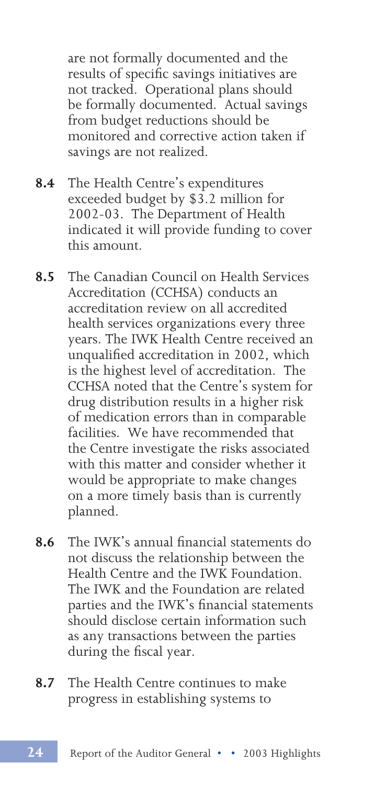are not formally documented and the results of specific savings initiatives are not tracked. Operational plans should be formally documented. Actual savings from budget reductions should be monitored and corrective action taken if savings are not realized.

- **8.4** The Health Centre's expenditures exceeded budget by \$3.2 million for 2002-03. The Department of Health indicated it will provide funding to cover this amount.
- **8.5** The Canadian Council on Health Services Accreditation (CCHSA) conducts an accreditation review on all accredited health services organizations every three years. The IWK Health Centre received an unqualified accreditation in 2002, which is the highest level of accreditation. The CCHSA noted that the Centre's system for drug distribution results in a higher risk of medication errors than in comparable facilities. We have recommended that the Centre investigate the risks associated with this matter and consider whether it would be appropriate to make changes on a more timely basis than is currently planned.
- **8.6** The IWK's annual financial statements do not discuss the relationship between the Health Centre and the IWK Foundation. The IWK and the Foundation are related parties and the IWK's financial statements should disclose certain information such as any transactions between the parties during the fiscal year.
- **8.7** The Health Centre continues to make progress in establishing systems to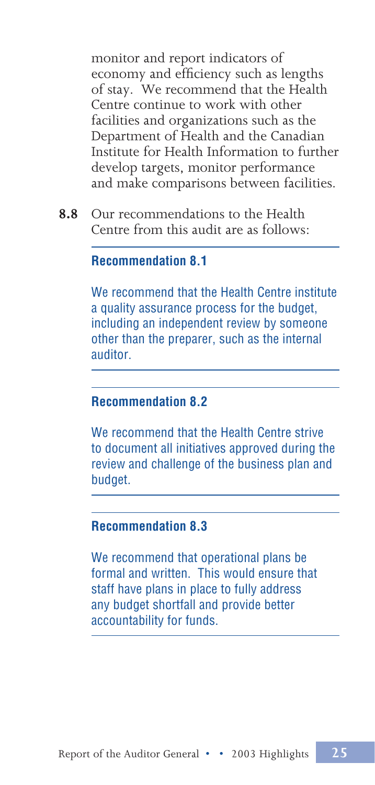monitor and report indicators of economy and efficiency such as lengths of stay. We recommend that the Health Centre continue to work with other facilities and organizations such as the Department of Health and the Canadian Institute for Health Information to further develop targets, monitor performance and make comparisons between facilities.

**8.8** Our recommendations to the Health Centre from this audit are as follows:

#### **Recommendation 8.1**

We recommend that the Health Centre institute a quality assurance process for the budget, including an independent review by someone other than the preparer, such as the internal auditor.

#### **Recommendation 8.2**

We recommend that the Health Centre strive to document all initiatives approved during the review and challenge of the business plan and budget.

#### **Recommendation 8.3**

We recommend that operational plans be formal and written. This would ensure that staff have plans in place to fully address any budget shortfall and provide better accountability for funds.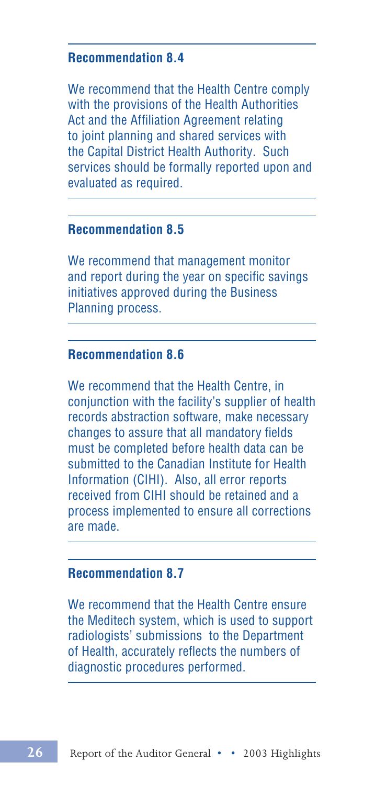### **Recommendation 8.4**

We recommend that the Health Centre comply with the provisions of the Health Authorities Act and the Affiliation Agreement relating to joint planning and shared services with the Capital District Health Authority. Such services should be formally reported upon and evaluated as required.

#### **Recommendation 8.5**

We recommend that management monitor and report during the year on specific savings initiatives approved during the Business Planning process.

#### **Recommendation 8.6**

We recommend that the Health Centre, in conjunction with the facility's supplier of health records abstraction software, make necessary changes to assure that all mandatory fields must be completed before health data can be submitted to the Canadian Institute for Health Information (CIHI). Also, all error reports received from CIHI should be retained and a process implemented to ensure all corrections are made.

### **Recommendation 8.7**

We recommend that the Health Centre ensure the Meditech system, which is used to support radiologists' submissions to the Department of Health, accurately reflects the numbers of diagnostic procedures performed.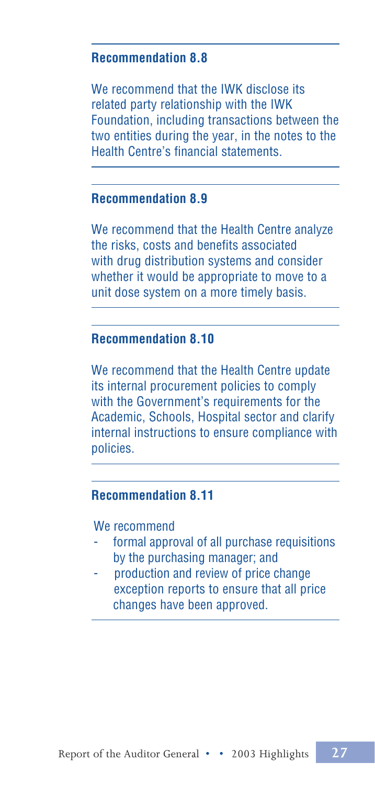### **Recommendation 8.8**

We recommend that the IWK disclose its related party relationship with the IWK Foundation, including transactions between the two entities during the year, in the notes to the Health Centre's financial statements.

### **Recommendation 8.9**

We recommend that the Health Centre analyze the risks, costs and benefits associated with drug distribution systems and consider whether it would be appropriate to move to a unit dose system on a more timely basis.

### **Recommendation 8.10**

We recommend that the Health Centre update its internal procurement policies to comply with the Government's requirements for the Academic, Schools, Hospital sector and clarify internal instructions to ensure compliance with policies.

#### **Recommendation 8.11**

#### We recommend

- formal approval of all purchase requisitions by the purchasing manager; and
- production and review of price change exception reports to ensure that all price changes have been approved.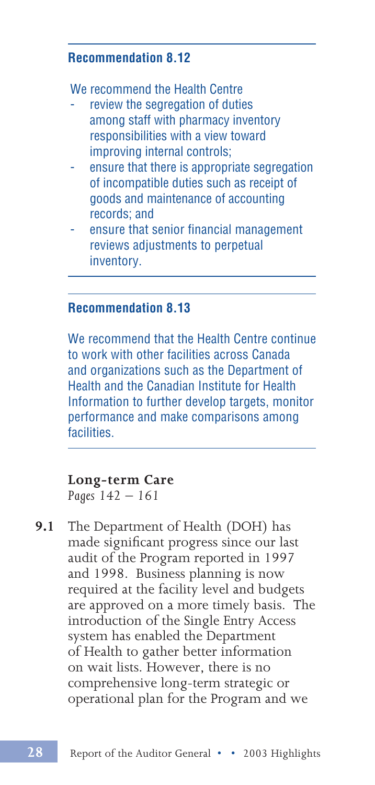#### **Recommendation 8.12**

We recommend the Health Centre

- review the segregation of duties among staff with pharmacy inventory responsibilities with a view toward improving internal controls;
- ensure that there is appropriate segregation of incompatible duties such as receipt of goods and maintenance of accounting records; and
- ensure that senior financial management reviews adjustments to perpetual inventory.

#### **Recommendation 8.13**

We recommend that the Health Centre continue to work with other facilities across Canada and organizations such as the Department of Health and the Canadian Institute for Health Information to further develop targets, monitor performance and make comparisons among facilities.

# **Long-term Care**

*Pages 142 – 161*

**9.1** The Department of Health (DOH) has made significant progress since our last audit of the Program reported in 1997 and 1998. Business planning is now required at the facility level and budgets are approved on a more timely basis. The introduction of the Single Entry Access system has enabled the Department of Health to gather better information on wait lists. However, there is no comprehensive long-term strategic or operational plan for the Program and we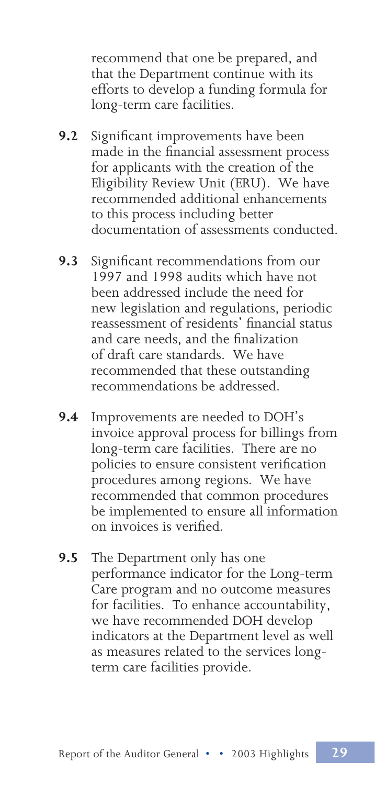recommend that one be prepared, and that the Department continue with its efforts to develop a funding formula for long-term care facilities.

- **9.2** Significant improvements have been made in the financial assessment process for applicants with the creation of the Eligibility Review Unit (ERU). We have recommended additional enhancements to this process including better documentation of assessments conducted.
- **9.3** Significant recommendations from our 1997 and 1998 audits which have not been addressed include the need for new legislation and regulations, periodic reassessment of residents' financial status and care needs, and the finalization of draft care standards. We have recommended that these outstanding recommendations be addressed.
- **9.4** Improvements are needed to DOH's invoice approval process for billings from long-term care facilities. There are no policies to ensure consistent verification procedures among regions. We have recommended that common procedures be implemented to ensure all information on invoices is verified.
- **9.5** The Department only has one performance indicator for the Long-term Care program and no outcome measures for facilities. To enhance accountability, we have recommended DOH develop indicators at the Department level as well as measures related to the services longterm care facilities provide.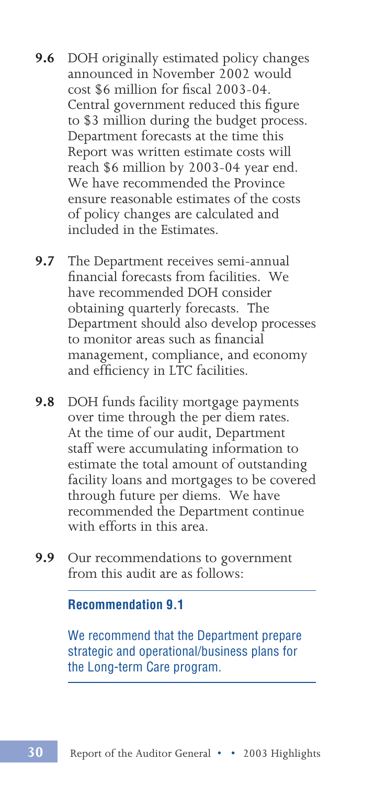- **9.6** DOH originally estimated policy changes announced in November 2002 would cost \$6 million for fiscal 2003-04. Central government reduced this figure to \$3 million during the budget process. Department forecasts at the time this Report was written estimate costs will reach \$6 million by 2003-04 year end. We have recommended the Province ensure reasonable estimates of the costs of policy changes are calculated and included in the Estimates.
- **9.7** The Department receives semi-annual financial forecasts from facilities. We have recommended DOH consider obtaining quarterly forecasts. The Department should also develop processes to monitor areas such as financial management, compliance, and economy and efficiency in LTC facilities.
- **9.8** DOH funds facility mortgage payments over time through the per diem rates. At the time of our audit, Department staff were accumulating information to estimate the total amount of outstanding facility loans and mortgages to be covered through future per diems. We have recommended the Department continue with efforts in this area.
- **9.9** Our recommendations to government from this audit are as follows:

#### **Recommendation 9.1**

We recommend that the Department prepare strategic and operational/business plans for the Long-term Care program.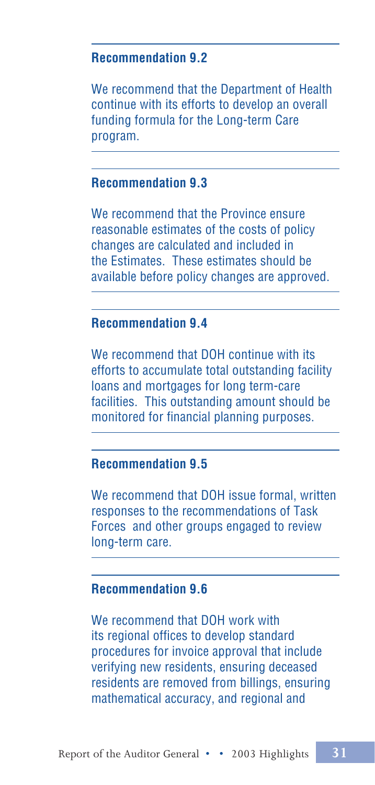#### **Recommendation 9.2**

We recommend that the Department of Health continue with its efforts to develop an overall funding formula for the Long-term Care program.

### **Recommendation 9.3**

We recommend that the Province ensure reasonable estimates of the costs of policy changes are calculated and included in the Estimates. These estimates should be available before policy changes are approved.

### **Recommendation 9.4**

We recommend that DOH continue with its efforts to accumulate total outstanding facility loans and mortgages for long term-care facilities. This outstanding amount should be monitored for financial planning purposes.

### **Recommendation 9.5**

We recommend that DOH issue formal, written responses to the recommendations of Task Forces and other groups engaged to review long-term care.

#### **Recommendation 9.6**

We recommend that DOH work with its regional offices to develop standard procedures for invoice approval that include verifying new residents, ensuring deceased residents are removed from billings, ensuring mathematical accuracy, and regional and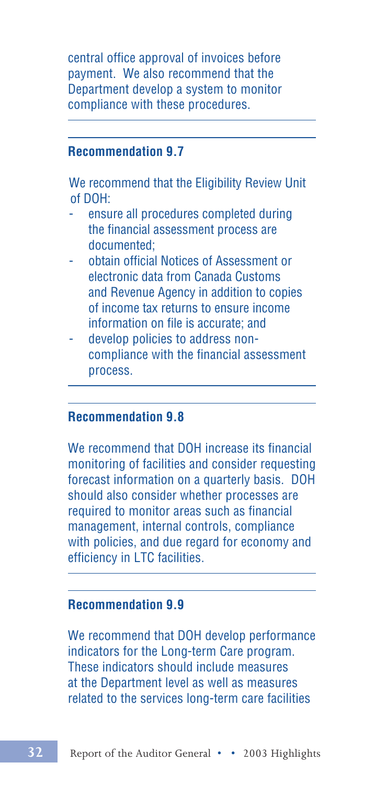central office approval of invoices before payment. We also recommend that the Department develop a system to monitor compliance with these procedures.

#### **Recommendation 9.7**

We recommend that the Eligibility Review Unit of DOH:

- ensure all procedures completed during the financial assessment process are documented;
- obtain official Notices of Assessment or electronic data from Canada Customs and Revenue Agency in addition to copies of income tax returns to ensure income information on file is accurate; and
- develop policies to address noncompliance with the financial assessment process.

#### **Recommendation 9.8**

We recommend that DOH increase its financial monitoring of facilities and consider requesting forecast information on a quarterly basis. DOH should also consider whether processes are required to monitor areas such as financial management, internal controls, compliance with policies, and due regard for economy and efficiency in LTC facilities.

#### **Recommendation 9.9**

We recommend that DOH develop performance indicators for the Long-term Care program. These indicators should include measures at the Department level as well as measures related to the services long-term care facilities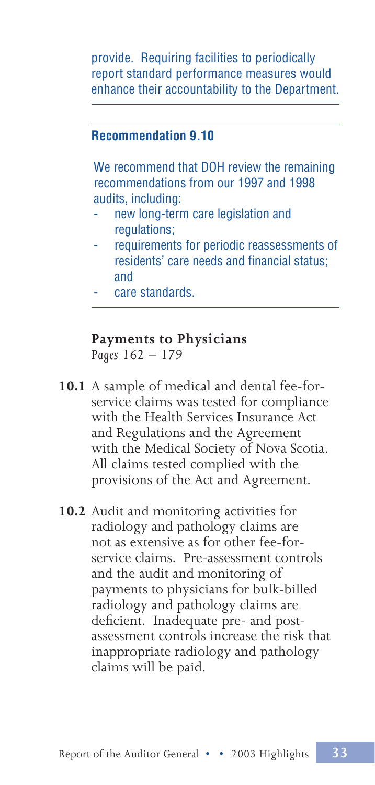provide. Requiring facilities to periodically report standard performance measures would enhance their accountability to the Department.

### **Recommendation 9.10**

We recommend that DOH review the remaining recommendations from our 1997 and 1998 audits, including:

- new long-term care legislation and regulations;
- requirements for periodic reassessments of residents' care needs and financial status; and
- care standards.

### **Payments to Physicians**

*Pages 162 – 179*

- **10.1** A sample of medical and dental fee-forservice claims was tested for compliance with the Health Services Insurance Act and Regulations and the Agreement with the Medical Society of Nova Scotia. All claims tested complied with the provisions of the Act and Agreement.
- **10.2** Audit and monitoring activities for radiology and pathology claims are not as extensive as for other fee-forservice claims. Pre-assessment controls and the audit and monitoring of payments to physicians for bulk-billed radiology and pathology claims are deficient. Inadequate pre- and postassessment controls increase the risk that inappropriate radiology and pathology claims will be paid.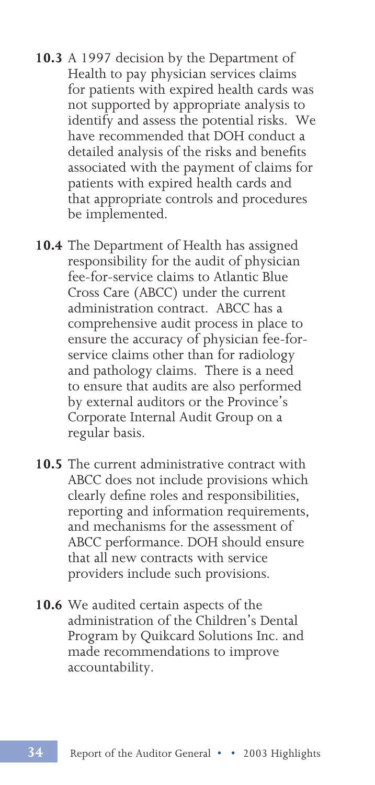- **10.3** A 1997 decision by the Department of Health to pay physician services claims for patients with expired health cards was not supported by appropriate analysis to identify and assess the potential risks. We have recommended that DOH conduct a detailed analysis of the risks and benefits associated with the payment of claims for patients with expired health cards and that appropriate controls and procedures be implemented.
- **10.4** The Department of Health has assigned responsibility for the audit of physician fee-for-service claims to Atlantic Blue Cross Care (ABCC) under the current administration contract. ABCC has a comprehensive audit process in place to ensure the accuracy of physician fee-forservice claims other than for radiology and pathology claims. There is a need to ensure that audits are also performed by external auditors or the Province's Corporate Internal Audit Group on a regular basis.
- **10.5** The current administrative contract with ABCC does not include provisions which clearly define roles and responsibilities, reporting and information requirements, and mechanisms for the assessment of ABCC performance. DOH should ensure that all new contracts with service providers include such provisions.
- **10.6** We audited certain aspects of the administration of the Children's Dental Program by Quikcard Solutions Inc. and made recommendations to improve accountability.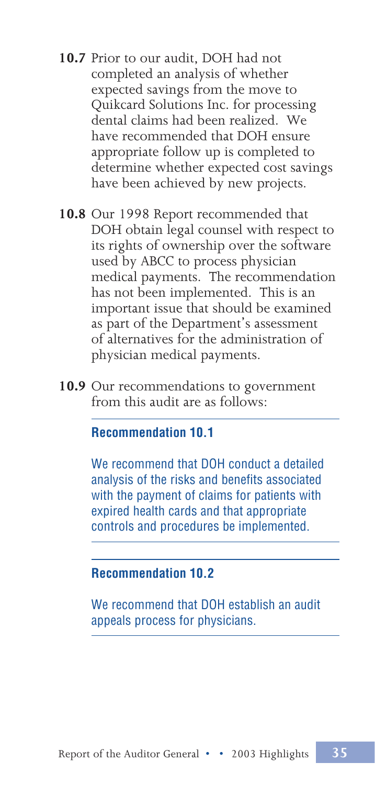- **10.7** Prior to our audit, DOH had not completed an analysis of whether expected savings from the move to Quikcard Solutions Inc. for processing dental claims had been realized. We have recommended that DOH ensure appropriate follow up is completed to determine whether expected cost savings have been achieved by new projects.
- **10.8** Our 1998 Report recommended that DOH obtain legal counsel with respect to its rights of ownership over the software used by ABCC to process physician medical payments. The recommendation has not been implemented. This is an important issue that should be examined as part of the Department's assessment of alternatives for the administration of physician medical payments.
- **10.9** Our recommendations to government from this audit are as follows:

#### **Recommendation 10.1**

We recommend that DOH conduct a detailed analysis of the risks and benefits associated with the payment of claims for patients with expired health cards and that appropriate controls and procedures be implemented.

#### **Recommendation 10.2**

We recommend that DOH establish an audit appeals process for physicians.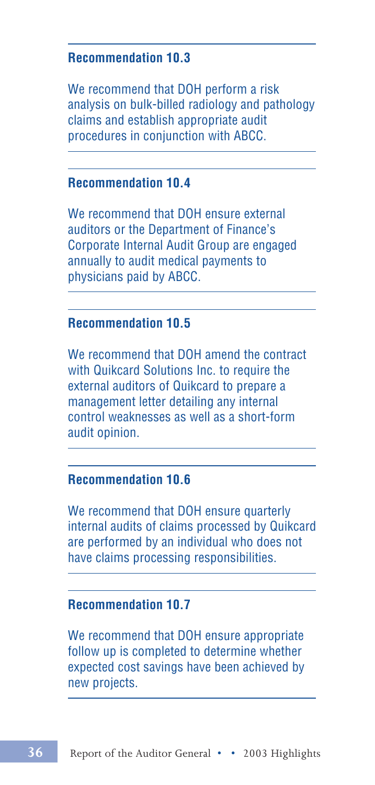#### **Recommendation 10.3**

We recommend that DOH perform a risk analysis on bulk-billed radiology and pathology claims and establish appropriate audit procedures in conjunction with ABCC.

### **Recommendation 10.4**

We recommend that DOH ensure external auditors or the Department of Finance's Corporate Internal Audit Group are engaged annually to audit medical payments to physicians paid by ABCC.

### **Recommendation 10.5**

We recommend that DOH amend the contract with Quikcard Solutions Inc. to require the external auditors of Quikcard to prepare a management letter detailing any internal control weaknesses as well as a short-form audit opinion.

#### **Recommendation 10.6**

We recommend that DOH ensure quarterly internal audits of claims processed by Quikcard are performed by an individual who does not have claims processing responsibilities.

#### **Recommendation 10.7**

We recommend that DOH ensure appropriate follow up is completed to determine whether expected cost savings have been achieved by new projects.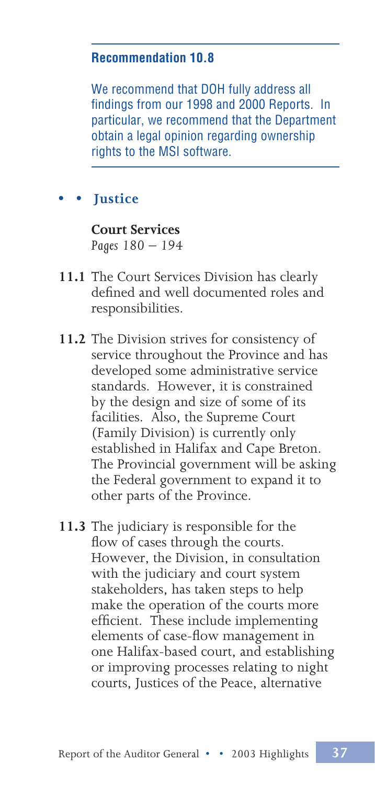### **Recommendation 10.8**

We recommend that DOH fully address all findings from our 1998 and 2000 Reports. In particular, we recommend that the Department obtain a legal opinion regarding ownership rights to the MSI software.

# **• • Justice**

#### **Court Services** *Pages 180 – 194*

- **11.1** The Court Services Division has clearly defined and well documented roles and responsibilities.
- **11.2** The Division strives for consistency of service throughout the Province and has developed some administrative service standards. However, it is constrained by the design and size of some of its facilities. Also, the Supreme Court (Family Division) is currently only established in Halifax and Cape Breton. The Provincial government will be asking the Federal government to expand it to other parts of the Province.
- **11.3** The judiciary is responsible for the flow of cases through the courts. However, the Division, in consultation with the judiciary and court system stakeholders, has taken steps to help make the operation of the courts more efficient. These include implementing elements of case-flow management in one Halifax-based court, and establishing or improving processes relating to night courts, Justices of the Peace, alternative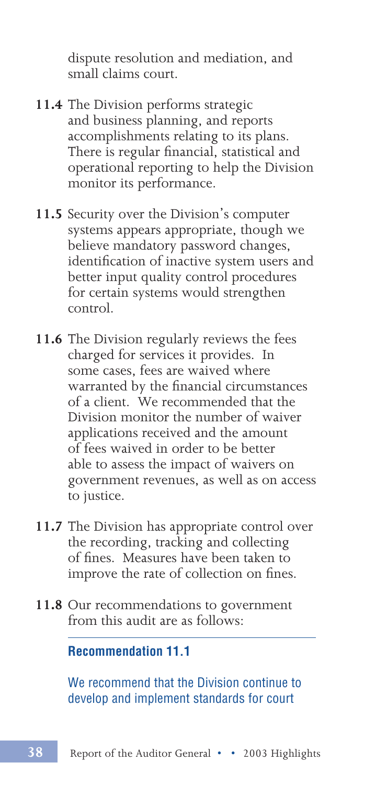dispute resolution and mediation, and small claims court.

- **11.4** The Division performs strategic and business planning, and reports accomplishments relating to its plans. There is regular financial, statistical and operational reporting to help the Division monitor its performance.
- **11.5** Security over the Division's computer systems appears appropriate, though we believe mandatory password changes, identification of inactive system users and better input quality control procedures for certain systems would strengthen control.
- **11.6** The Division regularly reviews the fees charged for services it provides. In some cases, fees are waived where warranted by the financial circumstances of a client. We recommended that the Division monitor the number of waiver applications received and the amount of fees waived in order to be better able to assess the impact of waivers on government revenues, as well as on access to justice.
- **11.7** The Division has appropriate control over the recording, tracking and collecting of fines. Measures have been taken to improve the rate of collection on fines.
- **11.8** Our recommendations to government from this audit are as follows:

**Recommendation 11.1**

We recommend that the Division continue to develop and implement standards for court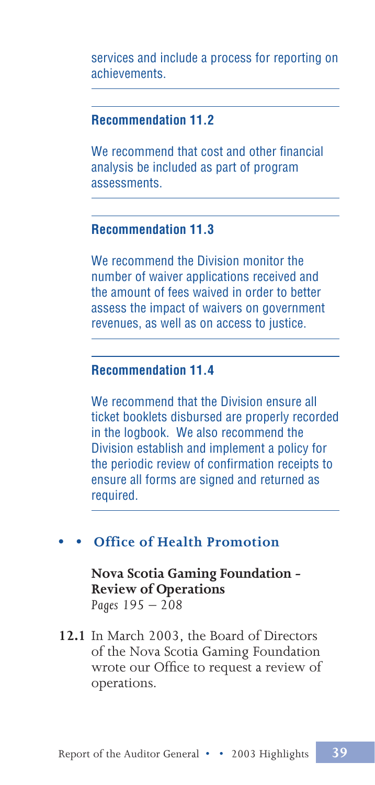services and include a process for reporting on achievements.

### **Recommendation 11.2**

We recommend that cost and other financial analysis be included as part of program assessments.

### **Recommendation 11.3**

We recommend the Division monitor the number of waiver applications received and the amount of fees waived in order to better assess the impact of waivers on government revenues, as well as on access to justice.

### **Recommendation 11.4**

We recommend that the Division ensure all ticket booklets disbursed are properly recorded in the logbook. We also recommend the Division establish and implement a policy for the periodic review of confirmation receipts to ensure all forms are signed and returned as required.

### **• • Office of Health Promotion**

**Nova Scotia Gaming Foundation - Review of Operations** *Pages 195 – 208*

**12.1** In March 2003, the Board of Directors of the Nova Scotia Gaming Foundation wrote our Office to request a review of operations.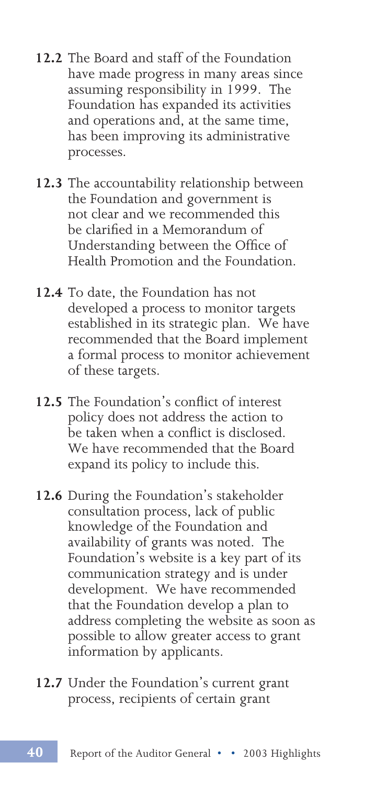- **12.2** The Board and staff of the Foundation have made progress in many areas since assuming responsibility in 1999. The Foundation has expanded its activities and operations and, at the same time, has been improving its administrative processes.
- **12.3** The accountability relationship between the Foundation and government is not clear and we recommended this be clarified in a Memorandum of Understanding between the Office of Health Promotion and the Foundation.
- **12.4** To date, the Foundation has not developed a process to monitor targets established in its strategic plan. We have recommended that the Board implement a formal process to monitor achievement of these targets.
- **12.5** The Foundation's conflict of interest policy does not address the action to be taken when a conflict is disclosed. We have recommended that the Board expand its policy to include this.
- **12.6** During the Foundation's stakeholder consultation process, lack of public knowledge of the Foundation and availability of grants was noted. The Foundation's website is a key part of its communication strategy and is under development. We have recommended that the Foundation develop a plan to address completing the website as soon as possible to allow greater access to grant information by applicants.
- **12.7** Under the Foundation's current grant process, recipients of certain grant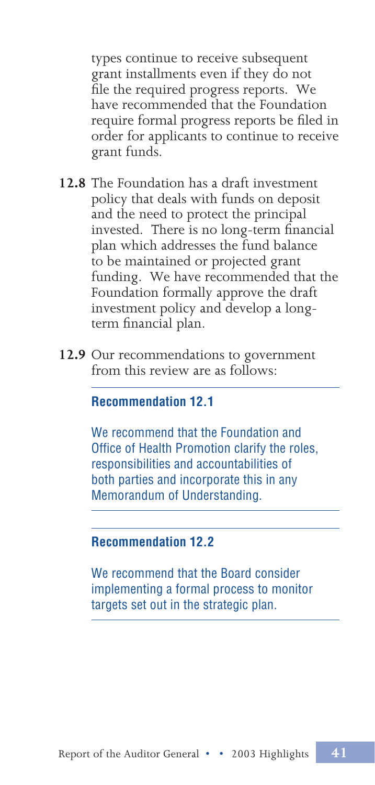types continue to receive subsequent grant installments even if they do not file the required progress reports. We have recommended that the Foundation require formal progress reports be filed in order for applicants to continue to receive grant funds.

- **12.8** The Foundation has a draft investment policy that deals with funds on deposit and the need to protect the principal invested. There is no long-term financial plan which addresses the fund balance to be maintained or projected grant funding. We have recommended that the Foundation formally approve the draft investment policy and develop a longterm financial plan.
- **12.9** Our recommendations to government from this review are as follows:

#### **Recommendation 12.1**

We recommend that the Foundation and Office of Health Promotion clarify the roles, responsibilities and accountabilities of both parties and incorporate this in any Memorandum of Understanding.

#### **Recommendation 12.2**

We recommend that the Board consider implementing a formal process to monitor targets set out in the strategic plan.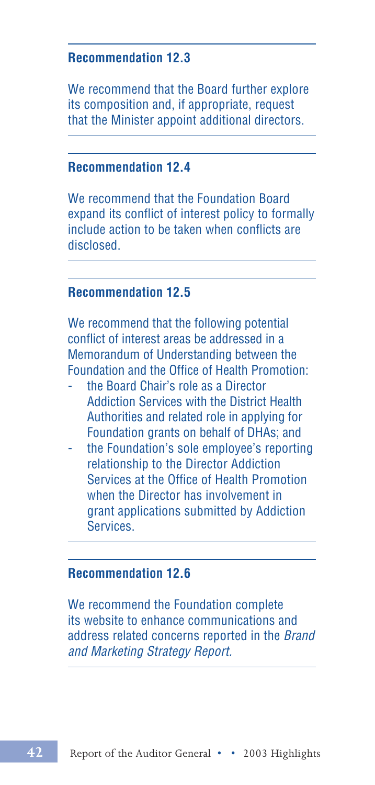### **Recommendation 12.3**

We recommend that the Board further explore its composition and, if appropriate, request that the Minister appoint additional directors.

#### **Recommendation 12.4**

We recommend that the Foundation Board expand its conflict of interest policy to formally include action to be taken when conflicts are disclosed.

### **Recommendation 12.5**

We recommend that the following potential conflict of interest areas be addressed in a Memorandum of Understanding between the Foundation and the Office of Health Promotion:

- the Board Chair's role as a Director Addiction Services with the District Health Authorities and related role in applying for Foundation grants on behalf of DHAs; and
- the Foundation's sole employee's reporting relationship to the Director Addiction Services at the Office of Health Promotion when the Director has involvement in grant applications submitted by Addiction **Services**

### **Recommendation 12.6**

We recommend the Foundation complete its website to enhance communications and address related concerns reported in the Brand and Marketing Strategy Report.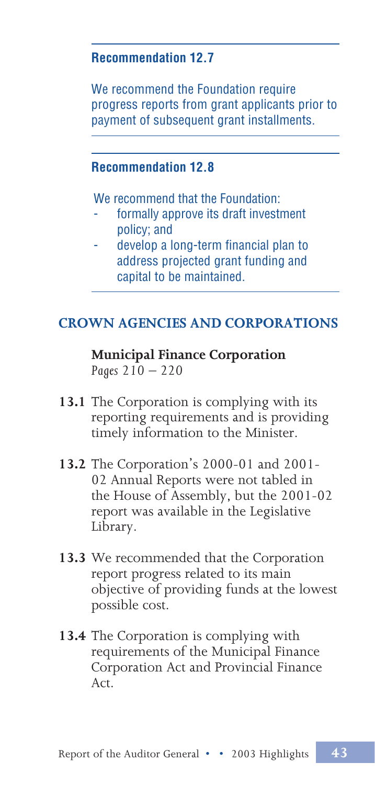### **Recommendation 12.7**

We recommend the Foundation require progress reports from grant applicants prior to payment of subsequent grant installments.

### **Recommendation 12.8**

We recommend that the Foundation:

- formally approve its draft investment policy; and
- develop a long-term financial plan to address projected grant funding and capital to be maintained.

# **CROWN AGENCIES AND CORPORATIONS**

**Municipal Finance Corporation** *Pages 210 – 220*

- **13.1** The Corporation is complying with its reporting requirements and is providing timely information to the Minister.
- **13.2** The Corporation's 2000-01 and 2001- 02 Annual Reports were not tabled in the House of Assembly, but the 2001-02 report was available in the Legislative Library.
- **13.3** We recommended that the Corporation report progress related to its main objective of providing funds at the lowest possible cost.
- **13.4** The Corporation is complying with requirements of the Municipal Finance Corporation Act and Provincial Finance Act.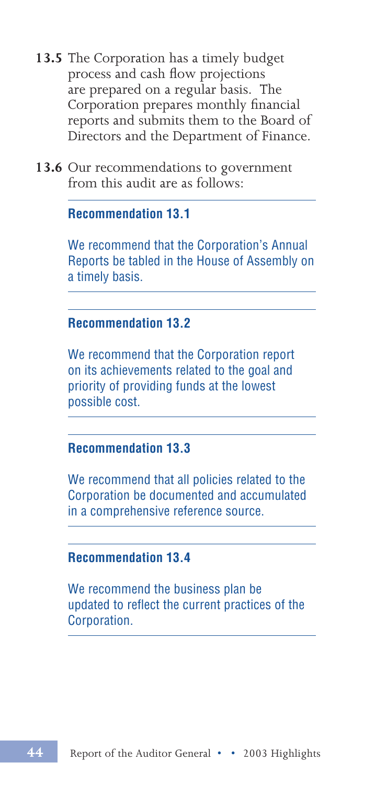- **13.5** The Corporation has a timely budget process and cash flow projections are prepared on a regular basis. The Corporation prepares monthly financial reports and submits them to the Board of Directors and the Department of Finance.
- **13.6** Our recommendations to government from this audit are as follows:

#### **Recommendation 13.1**

We recommend that the Corporation's Annual Reports be tabled in the House of Assembly on a timely basis.

### **Recommendation 13.2**

We recommend that the Corporation report on its achievements related to the goal and priority of providing funds at the lowest possible cost.

### **Recommendation 13.3**

We recommend that all policies related to the Corporation be documented and accumulated in a comprehensive reference source.

#### **Recommendation 13.4**

We recommend the business plan be updated to reflect the current practices of the Corporation.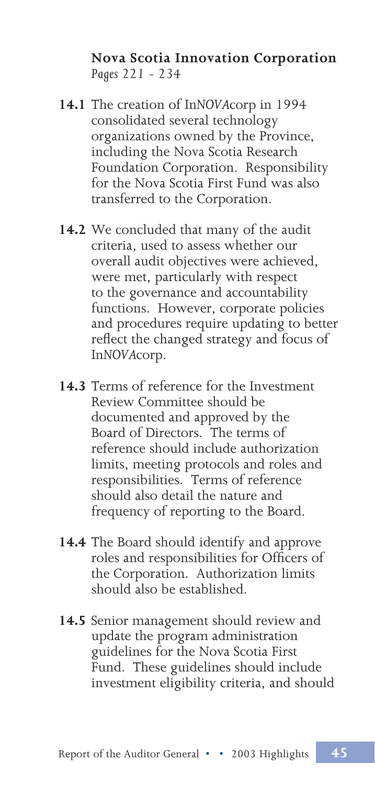### **Nova Scotia Innovation Corporation** *Pages 221 - 234*

- **14.1** The creation of In*NOVA*corp in 1994 consolidated several technology organizations owned by the Province, including the Nova Scotia Research Foundation Corporation. Responsibility for the Nova Scotia First Fund was also transferred to the Corporation.
- **14.2** We concluded that many of the audit criteria, used to assess whether our overall audit objectives were achieved, were met, particularly with respect to the governance and accountability functions. However, corporate policies and procedures require updating to better reflect the changed strategy and focus of In*NOVA*corp.
- **14.3** Terms of reference for the Investment Review Committee should be documented and approved by the Board of Directors. The terms of reference should include authorization limits, meeting protocols and roles and responsibilities. Terms of reference should also detail the nature and frequency of reporting to the Board.
- **14.4** The Board should identify and approve roles and responsibilities for Officers of the Corporation. Authorization limits should also be established.
- **14.5** Senior management should review and update the program administration guidelines for the Nova Scotia First Fund. These guidelines should include investment eligibility criteria, and should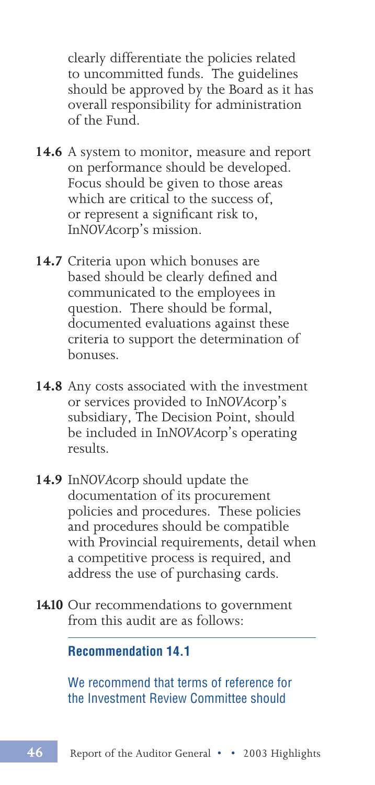clearly differentiate the policies related to uncommitted funds. The guidelines should be approved by the Board as it has overall responsibility for administration of the Fund.

- **14.6** A system to monitor, measure and report on performance should be developed. Focus should be given to those areas which are critical to the success of, or represent a significant risk to, In*NOVA*corp's mission.
- **14.7** Criteria upon which bonuses are based should be clearly defined and communicated to the employees in question. There should be formal, documented evaluations against these criteria to support the determination of bonuses.
- **14.8** Any costs associated with the investment or services provided to In*NOVA*corp's subsidiary, The Decision Point, should be included in In*NOVA*corp's operating results.
- **14.9** In*NOVA*corp should update the documentation of its procurement policies and procedures. These policies and procedures should be compatible with Provincial requirements, detail when a competitive process is required, and address the use of purchasing cards.
- **14.10** Our recommendations to government from this audit are as follows:

**Recommendation 14.1**

We recommend that terms of reference for the Investment Review Committee should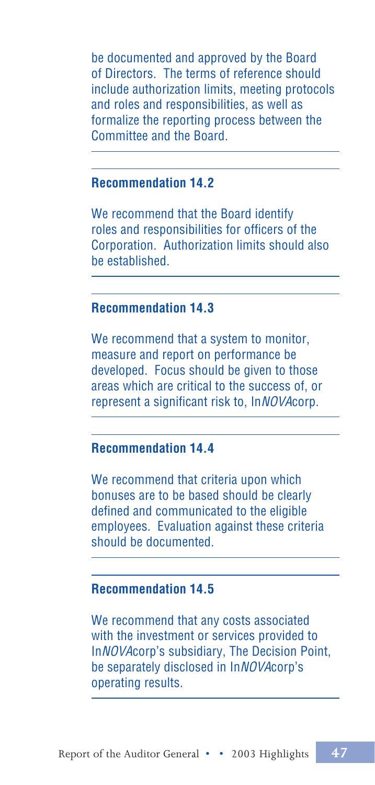be documented and approved by the Board of Directors. The terms of reference should include authorization limits, meeting protocols and roles and responsibilities, as well as formalize the reporting process between the Committee and the Board.

### **Recommendation 14.2**

We recommend that the Board identify roles and responsibilities for officers of the Corporation. Authorization limits should also be established.

### **Recommendation 14.3**

We recommend that a system to monitor, measure and report on performance be developed. Focus should be given to those areas which are critical to the success of, or represent a significant risk to, InNOVAcorp.

### **Recommendation 14.4**

We recommend that criteria upon which bonuses are to be based should be clearly defined and communicated to the eligible employees. Evaluation against these criteria should be documented.

#### **Recommendation 14.5**

We recommend that any costs associated with the investment or services provided to InNOVAcorp's subsidiary, The Decision Point, be separately disclosed in InNOVAcorp's operating results.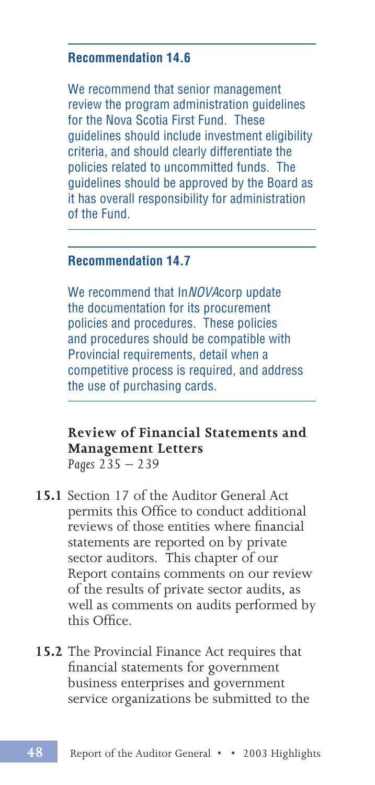### **Recommendation 14.6**

We recommend that senior management review the program administration guidelines for the Nova Scotia First Fund. These guidelines should include investment eligibility criteria, and should clearly differentiate the policies related to uncommitted funds. The guidelines should be approved by the Board as it has overall responsibility for administration of the Fund.

### **Recommendation 14.7**

We recommend that InNOVAcorp update the documentation for its procurement policies and procedures. These policies and procedures should be compatible with Provincial requirements, detail when a competitive process is required, and address the use of purchasing cards.

#### **Review of Financial Statements and Management Letters** *Pages 235 – 239*

- **15.1** Section 17 of the Auditor General Act permits this Office to conduct additional reviews of those entities where financial statements are reported on by private sector auditors. This chapter of our Report contains comments on our review of the results of private sector audits, as well as comments on audits performed by this Office.
- **15.2** The Provincial Finance Act requires that financial statements for government business enterprises and government service organizations be submitted to the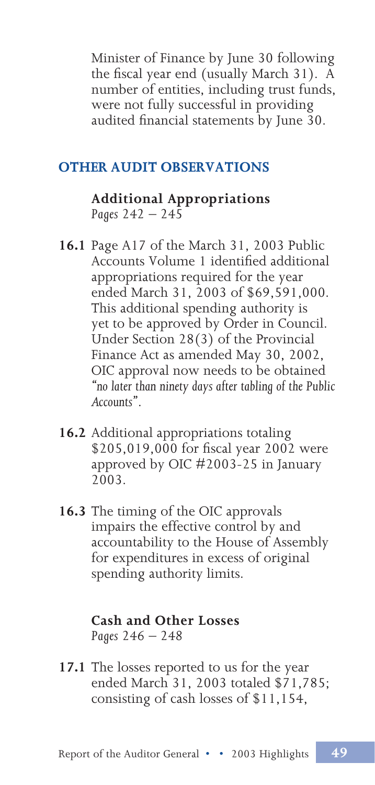Minister of Finance by June 30 following the fiscal year end (usually March 31). A number of entities, including trust funds, were not fully successful in providing audited financial statements by June 30.

### **OTHER AUDIT OBSERVATIONS**

**Additional Appropriations** *Pages 242 – 245*

- **16.1** Page A17 of the March 31, 2003 Public Accounts Volume 1 identified additional appropriations required for the year ended March 31, 2003 of \$69,591,000. This additional spending authority is yet to be approved by Order in Council. Under Section 28(3) of the Provincial Finance Act as amended May 30, 2002, OIC approval now needs to be obtained *"no later than ninety days after tabling of the Public Accounts"*.
- **16.2** Additional appropriations totaling \$205,019,000 for fiscal year 2002 were approved by OIC #2003-25 in January 2003.
- **16.3** The timing of the OIC approvals impairs the effective control by and accountability to the House of Assembly for expenditures in excess of original spending authority limits.

#### **Cash and Other Losses** *Pages 246 – 248*

**17.1** The losses reported to us for the year ended March 31, 2003 totaled \$71,785; consisting of cash losses of \$11,154,